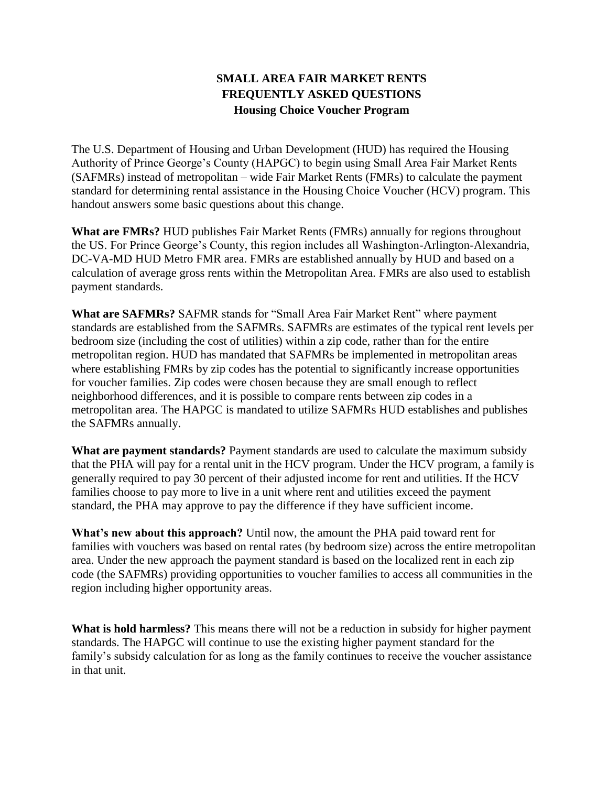## **SMALL AREA FAIR MARKET RENTS FREQUENTLY ASKED QUESTIONS Housing Choice Voucher Program**

The U.S. Department of Housing and Urban Development (HUD) has required the Housing Authority of Prince George's County (HAPGC) to begin using Small Area Fair Market Rents (SAFMRs) instead of metropolitan – wide Fair Market Rents (FMRs) to calculate the payment standard for determining rental assistance in the Housing Choice Voucher (HCV) program. This handout answers some basic questions about this change.

**What are FMRs?** HUD publishes Fair Market Rents (FMRs) annually for regions throughout the US. For Prince George's County, this region includes all Washington-Arlington-Alexandria, DC-VA-MD HUD Metro FMR area. FMRs are established annually by HUD and based on a calculation of average gross rents within the Metropolitan Area. FMRs are also used to establish payment standards.

**What are SAFMRs?** SAFMR stands for "Small Area Fair Market Rent" where payment standards are established from the SAFMRs. SAFMRs are estimates of the typical rent levels per bedroom size (including the cost of utilities) within a zip code, rather than for the entire metropolitan region. HUD has mandated that SAFMRs be implemented in metropolitan areas where establishing FMRs by zip codes has the potential to significantly increase opportunities for voucher families. Zip codes were chosen because they are small enough to reflect neighborhood differences, and it is possible to compare rents between zip codes in a metropolitan area. The HAPGC is mandated to utilize SAFMRs HUD establishes and publishes the SAFMRs annually.

**What are payment standards?** Payment standards are used to calculate the maximum subsidy that the PHA will pay for a rental unit in the HCV program. Under the HCV program, a family is generally required to pay 30 percent of their adjusted income for rent and utilities. If the HCV families choose to pay more to live in a unit where rent and utilities exceed the payment standard, the PHA may approve to pay the difference if they have sufficient income.

**What's new about this approach?** Until now, the amount the PHA paid toward rent for families with vouchers was based on rental rates (by bedroom size) across the entire metropolitan area. Under the new approach the payment standard is based on the localized rent in each zip code (the SAFMRs) providing opportunities to voucher families to access all communities in the region including higher opportunity areas.

**What is hold harmless?** This means there will not be a reduction in subsidy for higher payment standards. The HAPGC will continue to use the existing higher payment standard for the family's subsidy calculation for as long as the family continues to receive the voucher assistance in that unit.